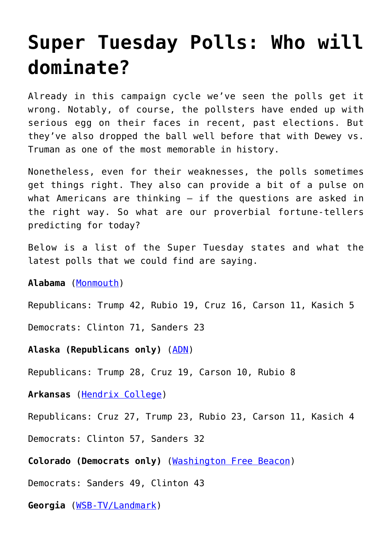## **[Super Tuesday Polls: Who will](https://intellectualtakeout.org/2016/03/super-tuesday-polls-who-will-dominate/) [dominate?](https://intellectualtakeout.org/2016/03/super-tuesday-polls-who-will-dominate/)**

Already in this campaign cycle we've seen the polls get it wrong. Notably, of course, the pollsters have ended up with serious egg on their faces in recent, past elections. But they've also dropped the ball well before that with Dewey vs. Truman as one of the most memorable in history.

Nonetheless, even for their weaknesses, the polls sometimes get things right. They also can provide a bit of a pulse on what Americans are thinking – if the questions are asked in the right way. So what are our proverbial fortune-tellers predicting for today?

Below is a list of the Super Tuesday states and what the latest polls that we could find are saying.

**Alabama** ([Monmouth\)](http://www.monmouth.edu/assets/0/32212254770/32212254991/32212254992/32212254994/32212254995/30064771087/493ca395-91a3-466e-83f0-8c006dbfaa1e.pdf)

Republicans: Trump 42, Rubio 19, Cruz 16, Carson 11, Kasich 5

Democrats: Clinton 71, Sanders 23

**Alaska (Republicans only)** ([ADN](http://www.adn.com/article/20160123/adn-poll-alaskans-trump-sanders-president))

Republicans: Trump 28, Cruz 19, Carson 10, Rubio 8

**Arkansas** ([Hendrix College\)](http://www.realclearpolitics.com/epolls/2016/president/ar/arkansas_republican_presidential_primary-5024.html)

Republicans: Cruz 27, Trump 23, Rubio 23, Carson 11, Kasich 4

Democrats: Clinton 57, Sanders 32

**Colorado (Democrats only)** ([Washington Free Beacon\)](http://thehill.com/blogs/ballot-box/presidential-races/269995-sanders-overtakes-hillary-in-colorado-poll)

Democrats: Sanders 49, Clinton 43

**Georgia** ([WSB-TV/Landmark\)](https://www.intellectualtakeout.org/WSB-TV/Landmark)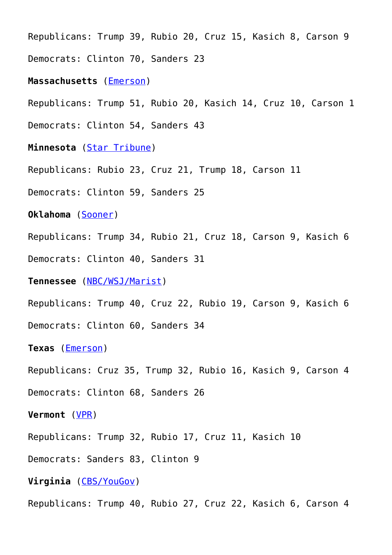Republicans: Trump 39, Rubio 20, Cruz 15, Kasich 8, Carson 9 Democrats: Clinton 70, Sanders 23

**Massachusetts** [\(Emerson](http://media.wix.com/ugd/3bebb2_9816c1e566554e4ca2b1ba998c4d6110.pdf))

Republicans: Trump 51, Rubio 20, Kasich 14, Cruz 10, Carson 1

Democrats: Clinton 54, Sanders 43

**Minnesota** ([Star Tribune](http://www.startribune.com/minnesota-poll-results-presidential-race/366232021/))

Republicans: Rubio 23, Cruz 21, Trump 18, Carson 11

Democrats: Clinton 59, Sanders 25

**Oklahoma** ([Sooner\)](http://soonerpoll.com/news9newson6-trump-leads-rubio-cruz-in-oklahoma-before-super-tuesday/)

Republicans: Trump 34, Rubio 21, Cruz 18, Carson 9, Kasich 6

Democrats: Clinton 40, Sanders 31

**Tennessee** ([NBC/WSJ/Marist\)](http://msnbcmedia.msn.com/i/MSNBC/Sections/A_Politics/NBC%20News_WSJ_Marist%20Poll_Georgia_%20Annotated%20Questionnaire_February%202016.pdf)

Republicans: Trump 40, Cruz 22, Rubio 19, Carson 9, Kasich 6

Democrats: Clinton 60, Sanders 34

**Texas** [\(Emerson](http://www.realclearpolitics.com/docs/2016/ECPS_Texas-Mass_Press_ReleaseNO_GRAPHIC_2.29_.pdf))

Republicans: Cruz 35, Trump 32, Rubio 16, Kasich 9, Carson 4

Democrats: Clinton 68, Sanders 26

**Vermont** ([VPR](http://digital.vpr.net/post/vpr-poll-races-issues-and-full-results#stream/0))

Republicans: Trump 32, Rubio 17, Cruz 11, Kasich 10

Democrats: Sanders 83, Clinton 9

**Virginia** ([CBS/YouGov](http://www.scribd.com/doc/300971548/CBS-News-Battleground-Tracker-Virginia-February-2016))

Republicans: Trump 40, Rubio 27, Cruz 22, Kasich 6, Carson 4